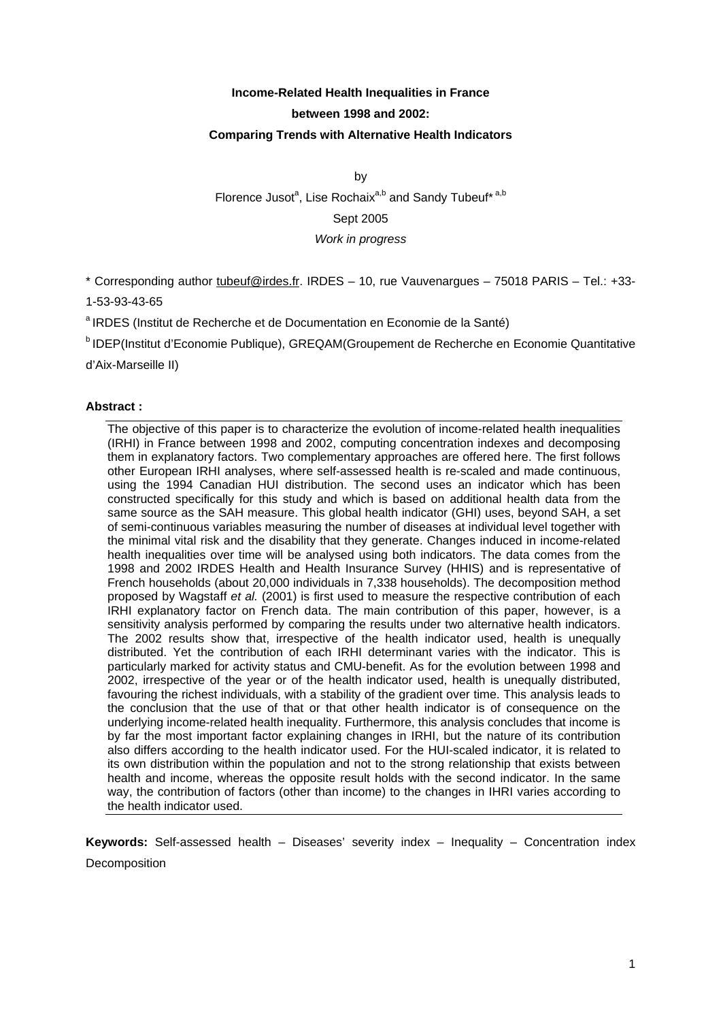# **Income-Related Health Inequalities in France between 1998 and 2002: Comparing Trends with Alternative Health Indicators**

by Florence Jusot<sup>a</sup>, Lise Rochaix<sup>a,b</sup> and Sandy Tubeuf\*<sup>a,b</sup> Sept 2005 *Work in progress* 

\* Corresponding author tubeuf@irdes.fr. IRDES – 10, rue Vauvenargues – 75018 PARIS – Tel.: +33-

1-53-93-43-65

<sup>a</sup> IRDES (Institut de Recherche et de Documentation en Economie de la Santé)

b IDEP(Institut d'Economie Publique), GREQAM(Groupement de Recherche en Economie Quantitative

d'Aix-Marseille II)

## **Abstract :**

The objective of this paper is to characterize the evolution of income-related health inequalities (IRHI) in France between 1998 and 2002, computing concentration indexes and decomposing them in explanatory factors. Two complementary approaches are offered here. The first follows other European IRHI analyses, where self-assessed health is re-scaled and made continuous, using the 1994 Canadian HUI distribution. The second uses an indicator which has been constructed specifically for this study and which is based on additional health data from the same source as the SAH measure. This global health indicator (GHI) uses, beyond SAH, a set of semi-continuous variables measuring the number of diseases at individual level together with the minimal vital risk and the disability that they generate. Changes induced in income-related health inequalities over time will be analysed using both indicators. The data comes from the 1998 and 2002 IRDES Health and Health Insurance Survey (HHIS) and is representative of French households (about 20,000 individuals in 7,338 households). The decomposition method proposed by Wagstaff *et al.* (2001) is first used to measure the respective contribution of each IRHI explanatory factor on French data. The main contribution of this paper, however, is a sensitivity analysis performed by comparing the results under two alternative health indicators. The 2002 results show that, irrespective of the health indicator used, health is unequally distributed. Yet the contribution of each IRHI determinant varies with the indicator. This is particularly marked for activity status and CMU-benefit. As for the evolution between 1998 and 2002, irrespective of the year or of the health indicator used, health is unequally distributed, favouring the richest individuals, with a stability of the gradient over time. This analysis leads to the conclusion that the use of that or that other health indicator is of consequence on the underlying income-related health inequality. Furthermore, this analysis concludes that income is by far the most important factor explaining changes in IRHI, but the nature of its contribution also differs according to the health indicator used. For the HUI-scaled indicator, it is related to its own distribution within the population and not to the strong relationship that exists between health and income, whereas the opposite result holds with the second indicator. In the same way, the contribution of factors (other than income) to the changes in IHRI varies according to the health indicator used.

**Keywords:** Self-assessed health – Diseases' severity index – Inequality – Concentration index Decomposition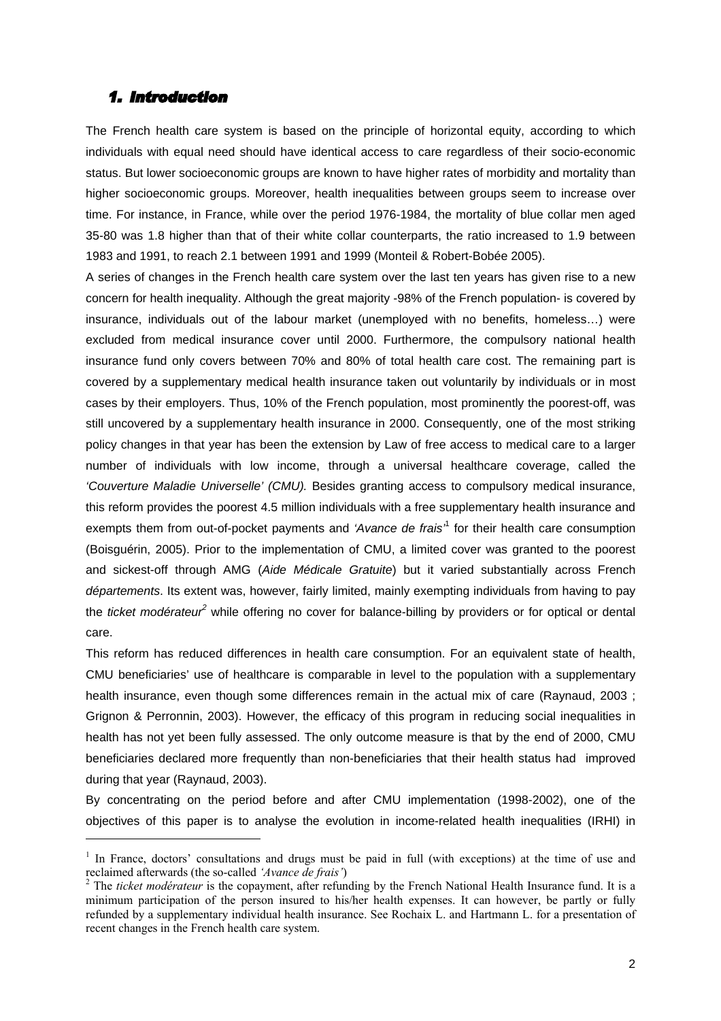## *1. Introduction*

-

The French health care system is based on the principle of horizontal equity, according to which individuals with equal need should have identical access to care regardless of their socio-economic status. But lower socioeconomic groups are known to have higher rates of morbidity and mortality than higher socioeconomic groups. Moreover, health inequalities between groups seem to increase over time. For instance, in France, while over the period 1976-1984, the mortality of blue collar men aged 35-80 was 1.8 higher than that of their white collar counterparts, the ratio increased to 1.9 between 1983 and 1991, to reach 2.1 between 1991 and 1999 (Monteil & Robert-Bobée 2005).

A series of changes in the French health care system over the last ten years has given rise to a new concern for health inequality. Although the great majority -98% of the French population- is covered by insurance, individuals out of the labour market (unemployed with no benefits, homeless…) were excluded from medical insurance cover until 2000. Furthermore, the compulsory national health insurance fund only covers between 70% and 80% of total health care cost. The remaining part is covered by a supplementary medical health insurance taken out voluntarily by individuals or in most cases by their employers. Thus, 10% of the French population, most prominently the poorest-off, was still uncovered by a supplementary health insurance in 2000. Consequently, one of the most striking policy changes in that year has been the extension by Law of free access to medical care to a larger number of individuals with low income, through a universal healthcare coverage, called the *'Couverture Maladie Universelle' (CMU).* Besides granting access to compulsory medical insurance, this reform provides the poorest 4.5 million individuals with a free supplementary health insurance and exempts them from out-of-pocket payments and *'Avance de frais'*<sup>1</sup> for their health care consumption (Boisguérin, 2005). Prior to the implementation of CMU, a limited cover was granted to the poorest and sickest-off through AMG (*Aide Médicale Gratuite*) but it varied substantially across French *départements*. Its extent was, however, fairly limited, mainly exempting individuals from having to pay the *ticket modérateur<sup>2</sup>* while offering no cover for balance-billing by providers or for optical or dental care.

This reform has reduced differences in health care consumption. For an equivalent state of health, CMU beneficiaries' use of healthcare is comparable in level to the population with a supplementary health insurance, even though some differences remain in the actual mix of care (Raynaud, 2003 ; Grignon & Perronnin, 2003). However, the efficacy of this program in reducing social inequalities in health has not yet been fully assessed. The only outcome measure is that by the end of 2000, CMU beneficiaries declared more frequently than non-beneficiaries that their health status had improved during that year (Raynaud, 2003).

By concentrating on the period before and after CMU implementation (1998-2002), one of the objectives of this paper is to analyse the evolution in income-related health inequalities (IRHI) in

<sup>&</sup>lt;sup>1</sup> In France, doctors' consultations and drugs must be paid in full (with exceptions) at the time of use and reclaimed afterwards (the so-called *'Avance de frais'*) 2

<sup>&</sup>lt;sup>2</sup> The *ticket modérateur* is the copayment, after refunding by the French National Health Insurance fund. It is a minimum participation of the person insured to his/her health expenses. It can however, be partly or fully refunded by a supplementary individual health insurance. See Rochaix L. and Hartmann L. for a presentation of recent changes in the French health care system.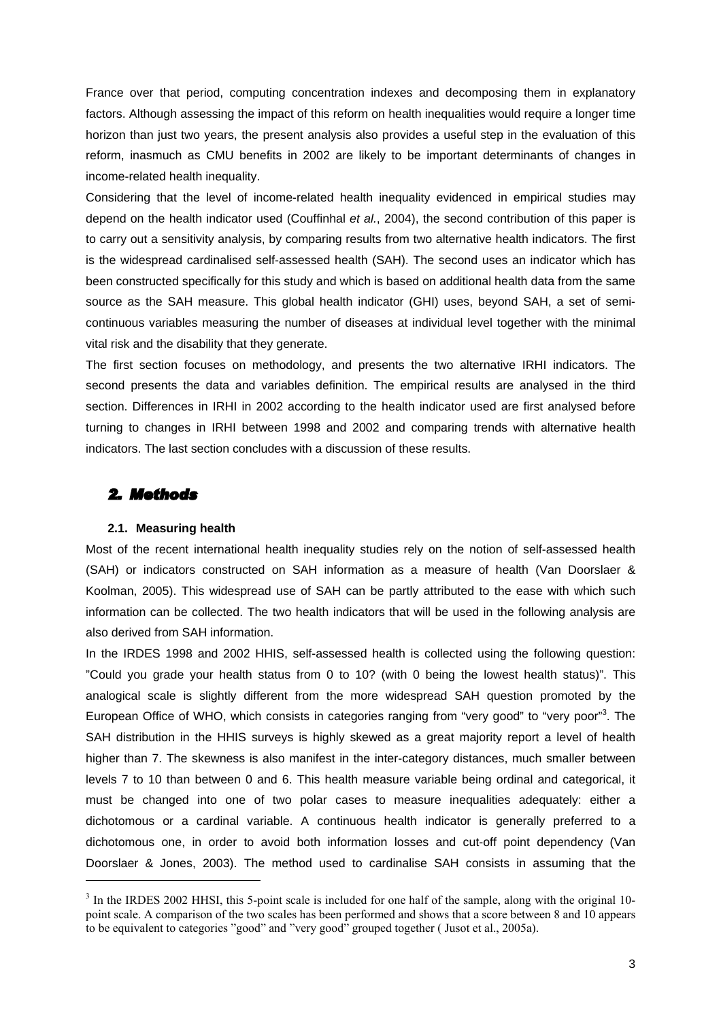France over that period, computing concentration indexes and decomposing them in explanatory factors. Although assessing the impact of this reform on health inequalities would require a longer time horizon than just two years, the present analysis also provides a useful step in the evaluation of this reform, inasmuch as CMU benefits in 2002 are likely to be important determinants of changes in income-related health inequality.

Considering that the level of income-related health inequality evidenced in empirical studies may depend on the health indicator used (Couffinhal *et al.*, 2004), the second contribution of this paper is to carry out a sensitivity analysis, by comparing results from two alternative health indicators. The first is the widespread cardinalised self-assessed health (SAH). The second uses an indicator which has been constructed specifically for this study and which is based on additional health data from the same source as the SAH measure. This global health indicator (GHI) uses, beyond SAH, a set of semicontinuous variables measuring the number of diseases at individual level together with the minimal vital risk and the disability that they generate.

The first section focuses on methodology, and presents the two alternative IRHI indicators. The second presents the data and variables definition. The empirical results are analysed in the third section. Differences in IRHI in 2002 according to the health indicator used are first analysed before turning to changes in IRHI between 1998 and 2002 and comparing trends with alternative health indicators. The last section concludes with a discussion of these results.

## *2. Methods*

-

### **2.1. Measuring health**

Most of the recent international health inequality studies rely on the notion of self-assessed health (SAH) or indicators constructed on SAH information as a measure of health (Van Doorslaer & Koolman, 2005). This widespread use of SAH can be partly attributed to the ease with which such information can be collected. The two health indicators that will be used in the following analysis are also derived from SAH information.

In the IRDES 1998 and 2002 HHIS, self-assessed health is collected using the following question: "Could you grade your health status from 0 to 10? (with 0 being the lowest health status)". This analogical scale is slightly different from the more widespread SAH question promoted by the European Office of WHO, which consists in categories ranging from "very good" to "very poor"<sup>3</sup>. The SAH distribution in the HHIS surveys is highly skewed as a great majority report a level of health higher than 7. The skewness is also manifest in the inter-category distances, much smaller between levels 7 to 10 than between 0 and 6. This health measure variable being ordinal and categorical, it must be changed into one of two polar cases to measure inequalities adequately: either a dichotomous or a cardinal variable. A continuous health indicator is generally preferred to a dichotomous one, in order to avoid both information losses and cut-off point dependency (Van Doorslaer & Jones, 2003). The method used to cardinalise SAH consists in assuming that the

<sup>&</sup>lt;sup>3</sup> In the IRDES 2002 HHSI, this 5-point scale is included for one half of the sample, along with the original 10point scale. A comparison of the two scales has been performed and shows that a score between 8 and 10 appears to be equivalent to categories "good" and "very good" grouped together ( Jusot et al., 2005a).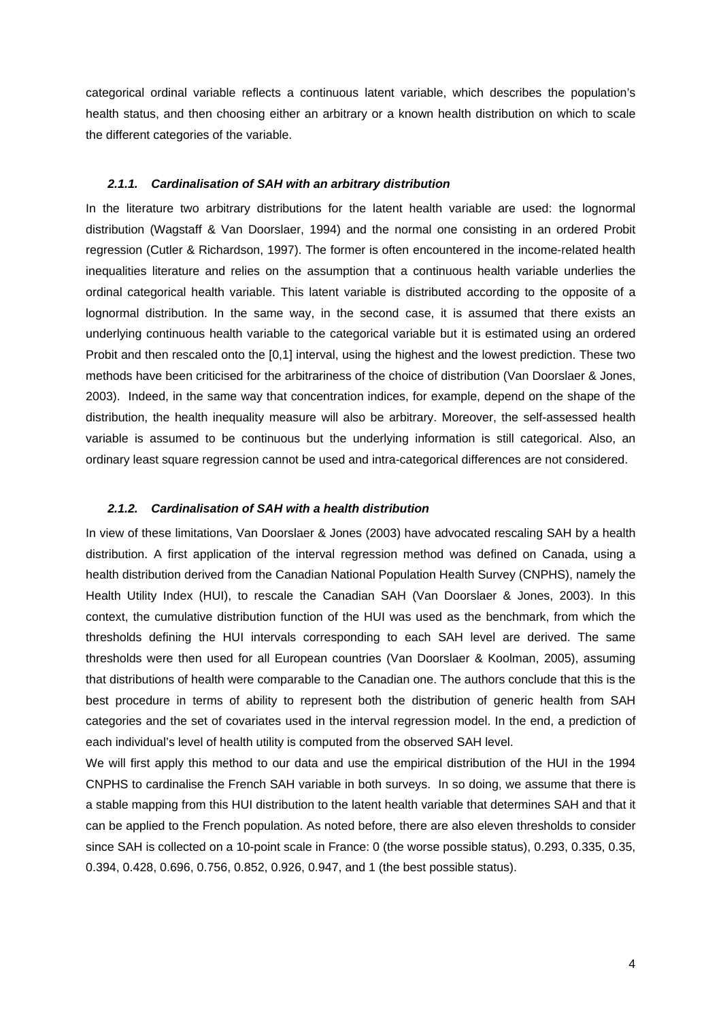categorical ordinal variable reflects a continuous latent variable, which describes the population's health status, and then choosing either an arbitrary or a known health distribution on which to scale the different categories of the variable.

#### *2.1.1. Cardinalisation of SAH with an arbitrary distribution*

In the literature two arbitrary distributions for the latent health variable are used: the lognormal distribution (Wagstaff & Van Doorslaer, 1994) and the normal one consisting in an ordered Probit regression (Cutler & Richardson, 1997). The former is often encountered in the income-related health inequalities literature and relies on the assumption that a continuous health variable underlies the ordinal categorical health variable. This latent variable is distributed according to the opposite of a lognormal distribution. In the same way, in the second case, it is assumed that there exists an underlying continuous health variable to the categorical variable but it is estimated using an ordered Probit and then rescaled onto the [0,1] interval, using the highest and the lowest prediction. These two methods have been criticised for the arbitrariness of the choice of distribution (Van Doorslaer & Jones, 2003). Indeed, in the same way that concentration indices, for example, depend on the shape of the distribution, the health inequality measure will also be arbitrary. Moreover, the self-assessed health variable is assumed to be continuous but the underlying information is still categorical. Also, an ordinary least square regression cannot be used and intra-categorical differences are not considered.

#### *2.1.2. Cardinalisation of SAH with a health distribution*

In view of these limitations, Van Doorslaer & Jones (2003) have advocated rescaling SAH by a health distribution. A first application of the interval regression method was defined on Canada, using a health distribution derived from the Canadian National Population Health Survey (CNPHS), namely the Health Utility Index (HUI), to rescale the Canadian SAH (Van Doorslaer & Jones, 2003). In this context, the cumulative distribution function of the HUI was used as the benchmark, from which the thresholds defining the HUI intervals corresponding to each SAH level are derived. The same thresholds were then used for all European countries (Van Doorslaer & Koolman, 2005), assuming that distributions of health were comparable to the Canadian one. The authors conclude that this is the best procedure in terms of ability to represent both the distribution of generic health from SAH categories and the set of covariates used in the interval regression model. In the end, a prediction of each individual's level of health utility is computed from the observed SAH level.

We will first apply this method to our data and use the empirical distribution of the HUI in the 1994 CNPHS to cardinalise the French SAH variable in both surveys. In so doing, we assume that there is a stable mapping from this HUI distribution to the latent health variable that determines SAH and that it can be applied to the French population. As noted before, there are also eleven thresholds to consider since SAH is collected on a 10-point scale in France: 0 (the worse possible status), 0.293, 0.335, 0.35, 0.394, 0.428, 0.696, 0.756, 0.852, 0.926, 0.947, and 1 (the best possible status).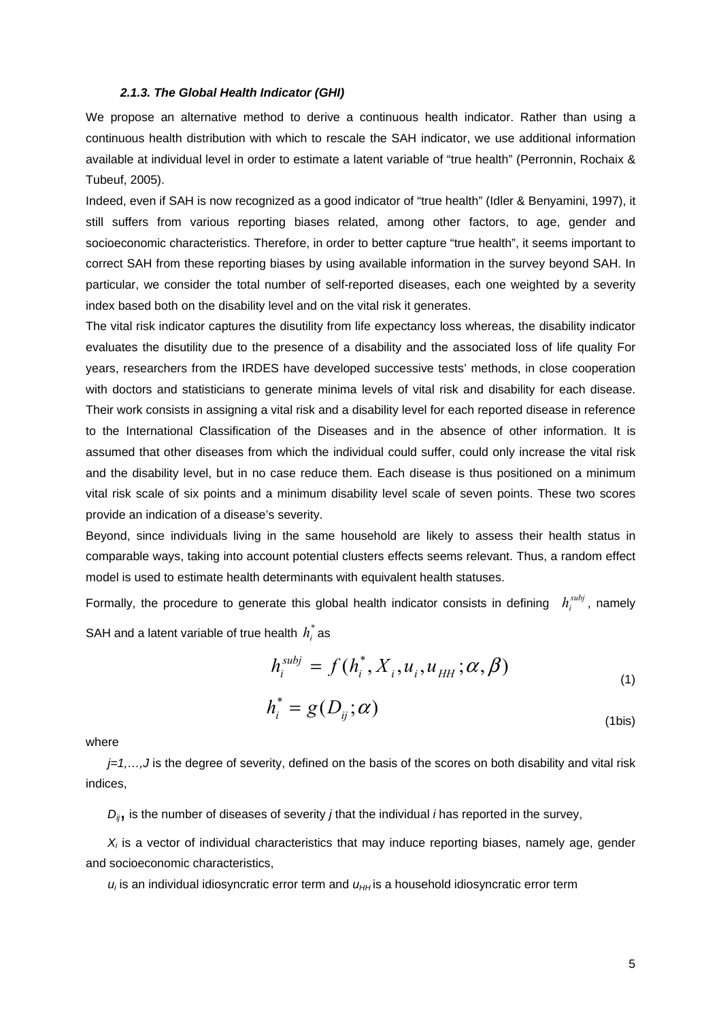#### *2.1.3. The Global Health Indicator (GHI)*

We propose an alternative method to derive a continuous health indicator. Rather than using a continuous health distribution with which to rescale the SAH indicator, we use additional information available at individual level in order to estimate a latent variable of "true health" (Perronnin, Rochaix & Tubeuf, 2005).

Indeed, even if SAH is now recognized as a good indicator of "true health" (Idler & Benyamini, 1997), it still suffers from various reporting biases related, among other factors, to age, gender and socioeconomic characteristics. Therefore, in order to better capture "true health", it seems important to correct SAH from these reporting biases by using available information in the survey beyond SAH. In particular, we consider the total number of self-reported diseases, each one weighted by a severity index based both on the disability level and on the vital risk it generates.

The vital risk indicator captures the disutility from life expectancy loss whereas, the disability indicator evaluates the disutility due to the presence of a disability and the associated loss of life quality For years, researchers from the IRDES have developed successive tests' methods, in close cooperation with doctors and statisticians to generate minima levels of vital risk and disability for each disease. Their work consists in assigning a vital risk and a disability level for each reported disease in reference to the International Classification of the Diseases and in the absence of other information. It is assumed that other diseases from which the individual could suffer, could only increase the vital risk and the disability level, but in no case reduce them. Each disease is thus positioned on a minimum vital risk scale of six points and a minimum disability level scale of seven points. These two scores provide an indication of a disease's severity.

Beyond, since individuals living in the same household are likely to assess their health status in comparable ways, taking into account potential clusters effects seems relevant. Thus, a random effect model is used to estimate health determinants with equivalent health statuses.

Formally, the procedure to generate this global health indicator consists in defining  $h_i^{subj}$ , namely SAH and a latent variable of true health  $h_i^*$  as

$$
h_i^{subj} = f(h_i^*, X_i, u_i, u_{HH}; \alpha, \beta)
$$
\n<sup>(1)</sup>

$$
h_i^* = g(D_{ij}; \alpha)
$$
\n<sup>(1bis)</sup>

where

*j=1,...,J* is the degree of severity, defined on the basis of the scores on both disability and vital risk indices,

*Dij*, is the number of diseases of severity *j* that the individual *i* has reported in the survey,

*Xi* is a vector of individual characteristics that may induce reporting biases, namely age, gender and socioeconomic characteristics,

*ui* is an individual idiosyncratic error term and *uHH* is a household idiosyncratic error term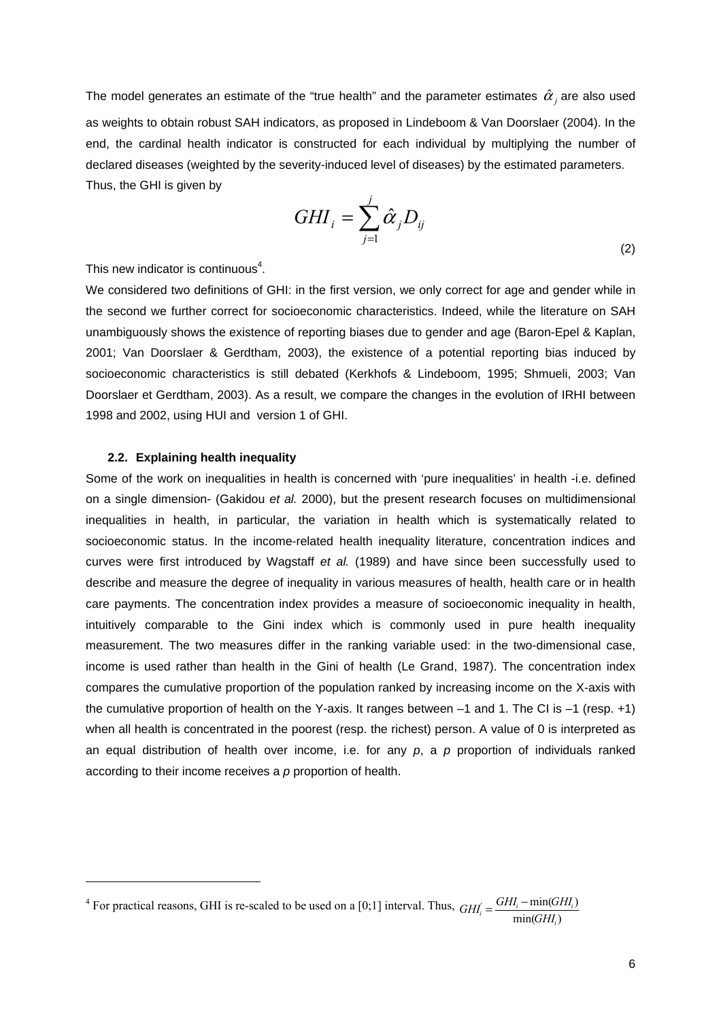The model generates an estimate of the "true health" and the parameter estimates  $\hat{\alpha}_i$  are also used as weights to obtain robust SAH indicators, as proposed in Lindeboom & Van Doorslaer (2004). In the end, the cardinal health indicator is constructed for each individual by multiplying the number of declared diseases (weighted by the severity-induced level of diseases) by the estimated parameters. Thus, the GHI is given by

$$
GHI_i = \sum_{j=1}^{j} \hat{\alpha}_j D_{ij}
$$
\n<sup>(2)</sup>

This new indicator is continuous $4$ .

We considered two definitions of GHI: in the first version, we only correct for age and gender while in the second we further correct for socioeconomic characteristics. Indeed, while the literature on SAH unambiguously shows the existence of reporting biases due to gender and age (Baron-Epel & Kaplan, 2001; Van Doorslaer & Gerdtham, 2003), the existence of a potential reporting bias induced by socioeconomic characteristics is still debated (Kerkhofs & Lindeboom, 1995; Shmueli, 2003; Van Doorslaer et Gerdtham, 2003). As a result, we compare the changes in the evolution of IRHI between 1998 and 2002, using HUI and version 1 of GHI.

## **2.2. Explaining health inequality**

-

Some of the work on inequalities in health is concerned with 'pure inequalities' in health -i.e. defined on a single dimension- (Gakidou *et al.* 2000), but the present research focuses on multidimensional inequalities in health, in particular, the variation in health which is systematically related to socioeconomic status. In the income-related health inequality literature, concentration indices and curves were first introduced by Wagstaff *et al.* (1989) and have since been successfully used to describe and measure the degree of inequality in various measures of health, health care or in health care payments. The concentration index provides a measure of socioeconomic inequality in health, intuitively comparable to the Gini index which is commonly used in pure health inequality measurement. The two measures differ in the ranking variable used: in the two-dimensional case, income is used rather than health in the Gini of health (Le Grand, 1987). The concentration index compares the cumulative proportion of the population ranked by increasing income on the X-axis with the cumulative proportion of health on the Y-axis. It ranges between –1 and 1. The CI is –1 (resp. +1) when all health is concentrated in the poorest (resp. the richest) person. A value of 0 is interpreted as an equal distribution of health over income, i.e. for any *p*, a *p* proportion of individuals ranked according to their income receives a *p* proportion of health.

 $4$  For practical reasons, GHI is re-scaled to be used on a [0;1] interval. Thus,  $min(GHI_i)$  $GHI_i - min(GHI_i)$ *i*  $GHI_i = \frac{GHI_i - \min(GHI_i)}{\min(GHI_i)}$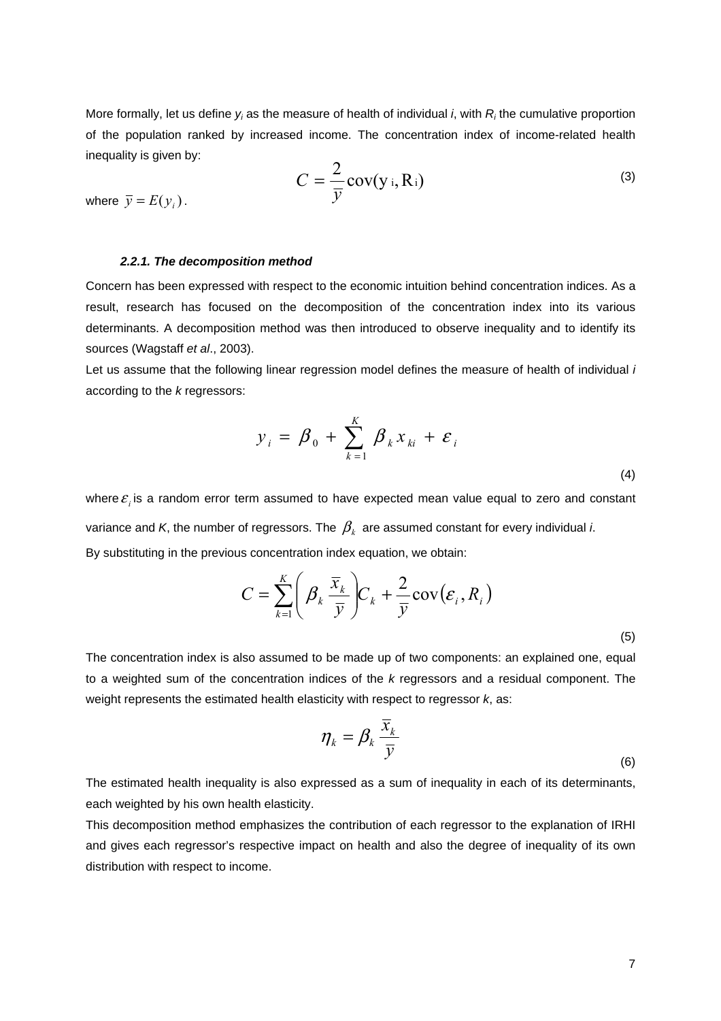More formally, let us define  $y_i$  as the measure of health of individual *i*, with  $R_i$  the cumulative proportion of the population ranked by increased income. The concentration index of income-related health inequality is given by:

$$
C = \frac{2}{\bar{y}} \text{cov}(y_i, R_i)
$$
 (3)

where  $\overline{v} = E(v_i)$ .

### *2.2.1. The decomposition method*

Concern has been expressed with respect to the economic intuition behind concentration indices. As a result, research has focused on the decomposition of the concentration index into its various determinants. A decomposition method was then introduced to observe inequality and to identify its sources (Wagstaff *et al*., 2003).

Let us assume that the following linear regression model defines the measure of health of individual *i*  according to the *k* regressors:

$$
y_i = \beta_0 + \sum_{k=1}^K \beta_k x_{ki} + \varepsilon_i
$$
\n(4)

where  $\varepsilon$ , is a random error term assumed to have expected mean value equal to zero and constant variance and *K*, the number of regressors. The  $\beta_k$  are assumed constant for every individual *i*. By substituting in the previous concentration index equation, we obtain:

$$
C = \sum_{k=1}^{K} \left( \beta_k \frac{\overline{x}_k}{\overline{y}} \right) C_k + \frac{2}{\overline{y}} \text{cov}(\varepsilon_i, R_i)
$$
\n(5)

The concentration index is also assumed to be made up of two components: an explained one, equal to a weighted sum of the concentration indices of the *k* regressors and a residual component. The weight represents the estimated health elasticity with respect to regressor *k*, as:

$$
\eta_k = \beta_k \frac{\overline{x}_k}{\overline{y}}
$$
 (6)

The estimated health inequality is also expressed as a sum of inequality in each of its determinants, each weighted by his own health elasticity.

This decomposition method emphasizes the contribution of each regressor to the explanation of IRHI and gives each regressor's respective impact on health and also the degree of inequality of its own distribution with respect to income.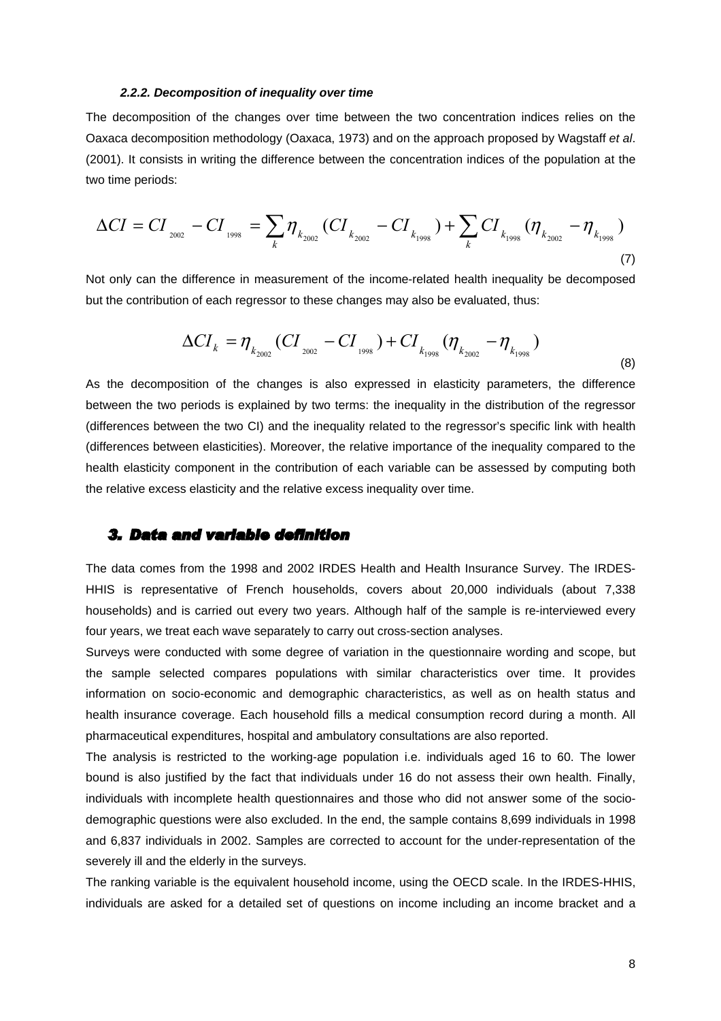#### *2.2.2. Decomposition of inequality over time*

The decomposition of the changes over time between the two concentration indices relies on the Oaxaca decomposition methodology (Oaxaca, 1973) and on the approach proposed by Wagstaff *et al*. (2001). It consists in writing the difference between the concentration indices of the population at the two time periods:

$$
\Delta CI = CI_{_{2002}} - CI_{_{1998}} = \sum_{k} \eta_{k_{2002}} (CI_{_{k_{2002}}} - CI_{_{k_{1998}}}) + \sum_{k} CI_{_{k_{1998}}} (\eta_{k_{2002}} - \eta_{_{k_{1998}}})
$$
\n(7)

Not only can the difference in measurement of the income-related health inequality be decomposed but the contribution of each regressor to these changes may also be evaluated, thus:

$$
\Delta CI_{k} = \eta_{k_{2002}} (CI_{_{2002}} - CI_{_{1998}}) + CI_{k_{1998}} (\eta_{k_{2002}} - \eta_{k_{1998}})
$$
\n(8)

As the decomposition of the changes is also expressed in elasticity parameters, the difference between the two periods is explained by two terms: the inequality in the distribution of the regressor (differences between the two CI) and the inequality related to the regressor's specific link with health (differences between elasticities). Moreover, the relative importance of the inequality compared to the health elasticity component in the contribution of each variable can be assessed by computing both the relative excess elasticity and the relative excess inequality over time.

## *3. Data and variable definition*

The data comes from the 1998 and 2002 IRDES Health and Health Insurance Survey. The IRDES-HHIS is representative of French households, covers about 20,000 individuals (about 7,338 households) and is carried out every two years. Although half of the sample is re-interviewed every four years, we treat each wave separately to carry out cross-section analyses.

Surveys were conducted with some degree of variation in the questionnaire wording and scope, but the sample selected compares populations with similar characteristics over time. It provides information on socio-economic and demographic characteristics, as well as on health status and health insurance coverage. Each household fills a medical consumption record during a month. All pharmaceutical expenditures, hospital and ambulatory consultations are also reported.

The analysis is restricted to the working-age population i.e. individuals aged 16 to 60. The lower bound is also justified by the fact that individuals under 16 do not assess their own health. Finally, individuals with incomplete health questionnaires and those who did not answer some of the sociodemographic questions were also excluded. In the end, the sample contains 8,699 individuals in 1998 and 6,837 individuals in 2002. Samples are corrected to account for the under-representation of the severely ill and the elderly in the surveys.

The ranking variable is the equivalent household income, using the OECD scale. In the IRDES-HHIS, individuals are asked for a detailed set of questions on income including an income bracket and a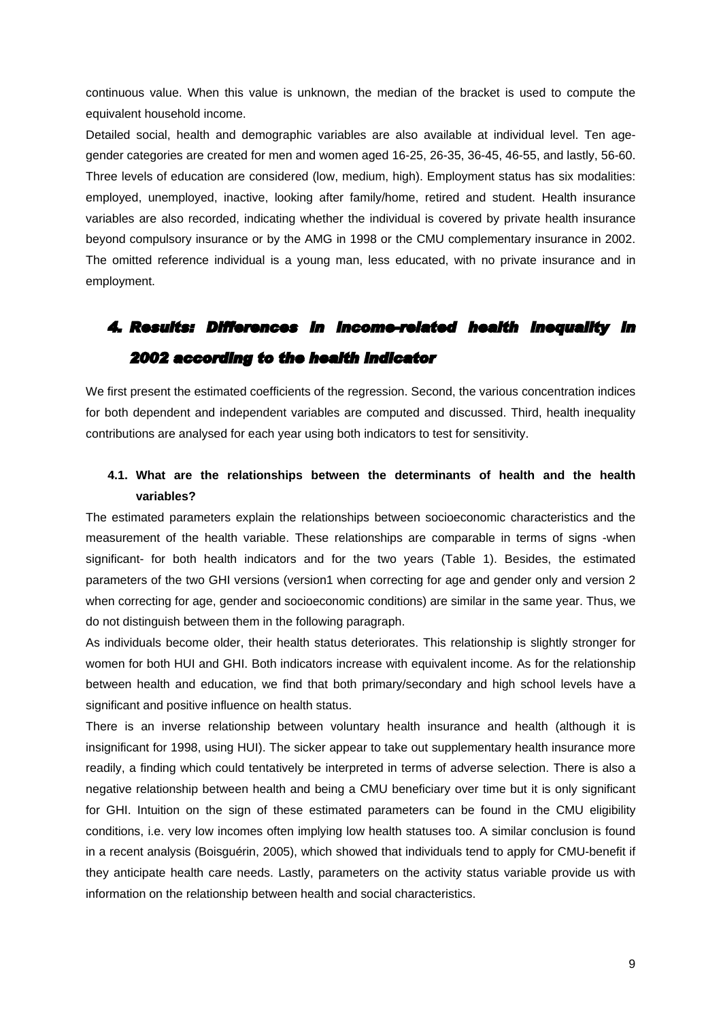continuous value. When this value is unknown, the median of the bracket is used to compute the equivalent household income.

Detailed social, health and demographic variables are also available at individual level. Ten agegender categories are created for men and women aged 16-25, 26-35, 36-45, 46-55, and lastly, 56-60. Three levels of education are considered (low, medium, high). Employment status has six modalities: employed, unemployed, inactive, looking after family/home, retired and student. Health insurance variables are also recorded, indicating whether the individual is covered by private health insurance beyond compulsory insurance or by the AMG in 1998 or the CMU complementary insurance in 2002. The omitted reference individual is a young man, less educated, with no private insurance and in employment.

# *4. Results: Differences in income-related health inequality in 2002 according to the health indicator*

We first present the estimated coefficients of the regression. Second, the various concentration indices for both dependent and independent variables are computed and discussed. Third, health inequality contributions are analysed for each year using both indicators to test for sensitivity.

## **4.1. What are the relationships between the determinants of health and the health variables?**

The estimated parameters explain the relationships between socioeconomic characteristics and the measurement of the health variable. These relationships are comparable in terms of signs -when significant- for both health indicators and for the two years (Table 1). Besides, the estimated parameters of the two GHI versions (version1 when correcting for age and gender only and version 2 when correcting for age, gender and socioeconomic conditions) are similar in the same year. Thus, we do not distinguish between them in the following paragraph.

As individuals become older, their health status deteriorates. This relationship is slightly stronger for women for both HUI and GHI. Both indicators increase with equivalent income. As for the relationship between health and education, we find that both primary/secondary and high school levels have a significant and positive influence on health status.

There is an inverse relationship between voluntary health insurance and health (although it is insignificant for 1998, using HUI). The sicker appear to take out supplementary health insurance more readily, a finding which could tentatively be interpreted in terms of adverse selection. There is also a negative relationship between health and being a CMU beneficiary over time but it is only significant for GHI. Intuition on the sign of these estimated parameters can be found in the CMU eligibility conditions, i.e. very low incomes often implying low health statuses too. A similar conclusion is found in a recent analysis (Boisguérin, 2005), which showed that individuals tend to apply for CMU-benefit if they anticipate health care needs. Lastly, parameters on the activity status variable provide us with information on the relationship between health and social characteristics.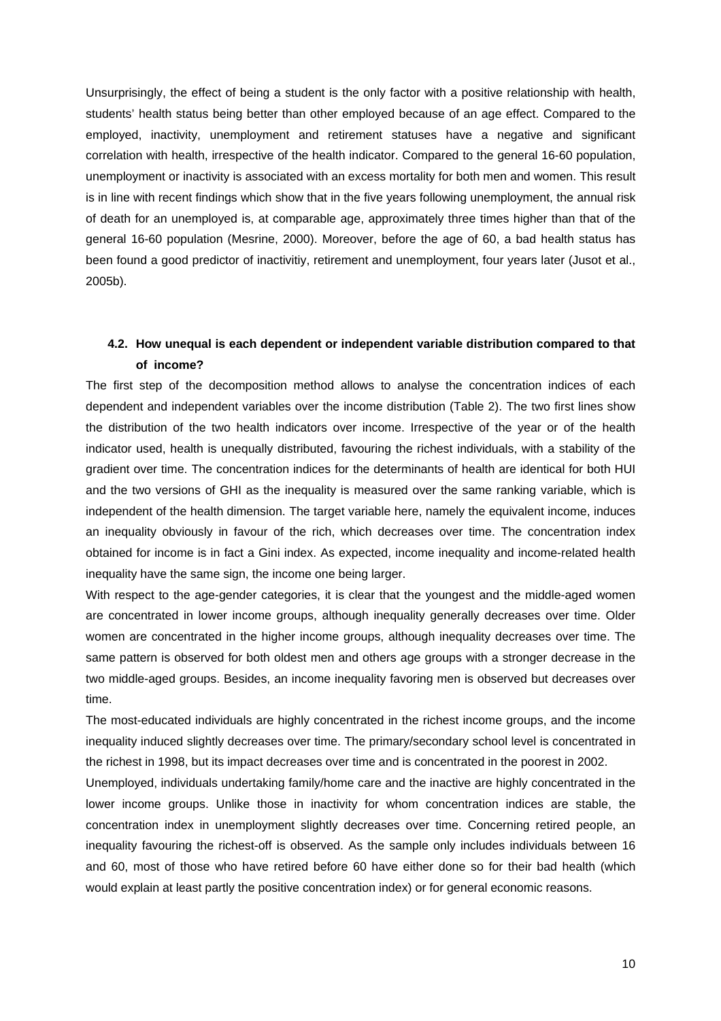Unsurprisingly, the effect of being a student is the only factor with a positive relationship with health, students' health status being better than other employed because of an age effect. Compared to the employed, inactivity, unemployment and retirement statuses have a negative and significant correlation with health, irrespective of the health indicator. Compared to the general 16-60 population, unemployment or inactivity is associated with an excess mortality for both men and women. This result is in line with recent findings which show that in the five years following unemployment, the annual risk of death for an unemployed is, at comparable age, approximately three times higher than that of the general 16-60 population (Mesrine, 2000). Moreover, before the age of 60, a bad health status has been found a good predictor of inactivitiy, retirement and unemployment, four years later (Jusot et al., 2005b).

## **4.2. How unequal is each dependent or independent variable distribution compared to that of income?**

The first step of the decomposition method allows to analyse the concentration indices of each dependent and independent variables over the income distribution (Table 2). The two first lines show the distribution of the two health indicators over income. Irrespective of the year or of the health indicator used, health is unequally distributed, favouring the richest individuals, with a stability of the gradient over time. The concentration indices for the determinants of health are identical for both HUI and the two versions of GHI as the inequality is measured over the same ranking variable, which is independent of the health dimension. The target variable here, namely the equivalent income, induces an inequality obviously in favour of the rich, which decreases over time. The concentration index obtained for income is in fact a Gini index. As expected, income inequality and income-related health inequality have the same sign, the income one being larger.

With respect to the age-gender categories, it is clear that the youngest and the middle-aged women are concentrated in lower income groups, although inequality generally decreases over time. Older women are concentrated in the higher income groups, although inequality decreases over time. The same pattern is observed for both oldest men and others age groups with a stronger decrease in the two middle-aged groups. Besides, an income inequality favoring men is observed but decreases over time.

The most-educated individuals are highly concentrated in the richest income groups, and the income inequality induced slightly decreases over time. The primary/secondary school level is concentrated in the richest in 1998, but its impact decreases over time and is concentrated in the poorest in 2002.

Unemployed, individuals undertaking family/home care and the inactive are highly concentrated in the lower income groups. Unlike those in inactivity for whom concentration indices are stable, the concentration index in unemployment slightly decreases over time. Concerning retired people, an inequality favouring the richest-off is observed. As the sample only includes individuals between 16 and 60, most of those who have retired before 60 have either done so for their bad health (which would explain at least partly the positive concentration index) or for general economic reasons.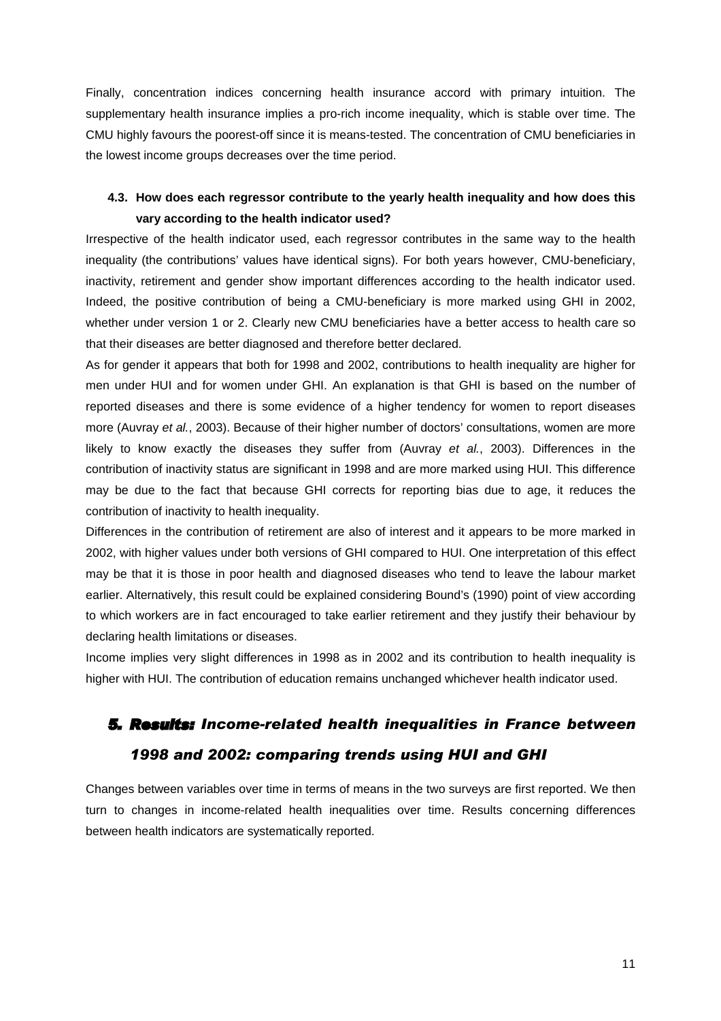Finally, concentration indices concerning health insurance accord with primary intuition. The supplementary health insurance implies a pro-rich income inequality, which is stable over time. The CMU highly favours the poorest-off since it is means-tested. The concentration of CMU beneficiaries in the lowest income groups decreases over the time period.

# **4.3. How does each regressor contribute to the yearly health inequality and how does this vary according to the health indicator used?**

Irrespective of the health indicator used, each regressor contributes in the same way to the health inequality (the contributions' values have identical signs). For both years however, CMU-beneficiary, inactivity, retirement and gender show important differences according to the health indicator used. Indeed, the positive contribution of being a CMU-beneficiary is more marked using GHI in 2002, whether under version 1 or 2. Clearly new CMU beneficiaries have a better access to health care so that their diseases are better diagnosed and therefore better declared.

As for gender it appears that both for 1998 and 2002, contributions to health inequality are higher for men under HUI and for women under GHI. An explanation is that GHI is based on the number of reported diseases and there is some evidence of a higher tendency for women to report diseases more (Auvray *et al.*, 2003). Because of their higher number of doctors' consultations, women are more likely to know exactly the diseases they suffer from (Auvray *et al.*, 2003). Differences in the contribution of inactivity status are significant in 1998 and are more marked using HUI. This difference may be due to the fact that because GHI corrects for reporting bias due to age, it reduces the contribution of inactivity to health inequality.

Differences in the contribution of retirement are also of interest and it appears to be more marked in 2002, with higher values under both versions of GHI compared to HUI. One interpretation of this effect may be that it is those in poor health and diagnosed diseases who tend to leave the labour market earlier. Alternatively, this result could be explained considering Bound's (1990) point of view according to which workers are in fact encouraged to take earlier retirement and they justify their behaviour by declaring health limitations or diseases.

Income implies very slight differences in 1998 as in 2002 and its contribution to health inequality is higher with HUI. The contribution of education remains unchanged whichever health indicator used.

# *5. Results: Income-related health inequalities in France between 1998 and 2002: comparing trends using HUI and GHI*

Changes between variables over time in terms of means in the two surveys are first reported. We then turn to changes in income-related health inequalities over time. Results concerning differences between health indicators are systematically reported.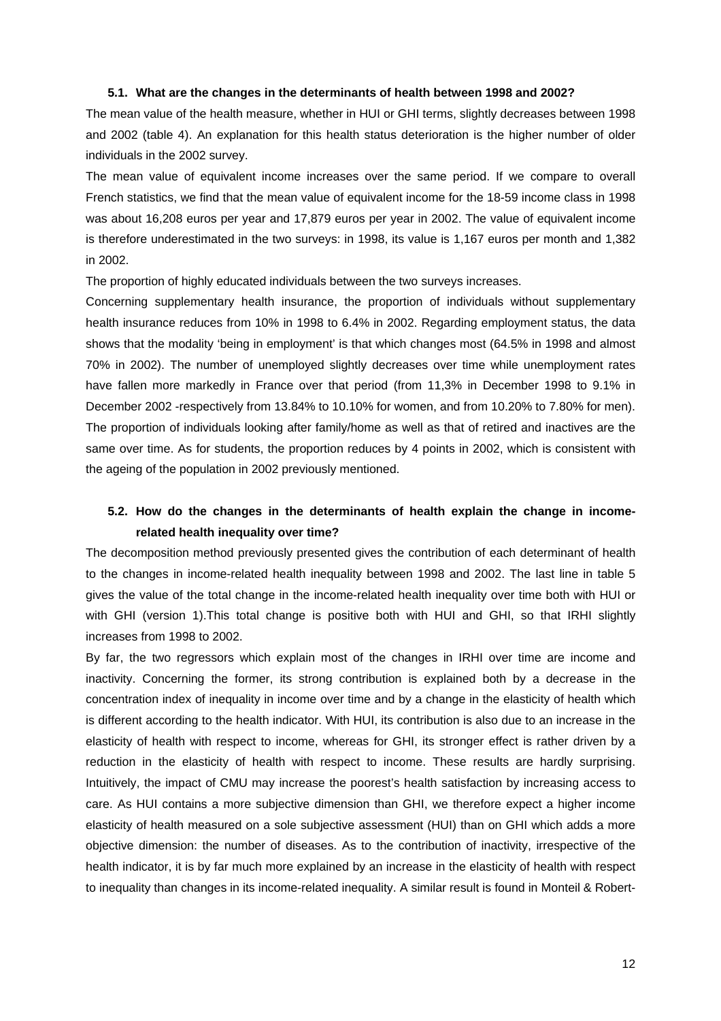#### **5.1. What are the changes in the determinants of health between 1998 and 2002?**

The mean value of the health measure, whether in HUI or GHI terms, slightly decreases between 1998 and 2002 (table 4). An explanation for this health status deterioration is the higher number of older individuals in the 2002 survey.

The mean value of equivalent income increases over the same period. If we compare to overall French statistics, we find that the mean value of equivalent income for the 18-59 income class in 1998 was about 16,208 euros per year and 17,879 euros per year in 2002. The value of equivalent income is therefore underestimated in the two surveys: in 1998, its value is 1,167 euros per month and 1,382 in 2002.

The proportion of highly educated individuals between the two surveys increases.

Concerning supplementary health insurance, the proportion of individuals without supplementary health insurance reduces from 10% in 1998 to 6.4% in 2002. Regarding employment status, the data shows that the modality 'being in employment' is that which changes most (64.5% in 1998 and almost 70% in 2002). The number of unemployed slightly decreases over time while unemployment rates have fallen more markedly in France over that period (from 11,3% in December 1998 to 9.1% in December 2002 -respectively from 13.84% to 10.10% for women, and from 10.20% to 7.80% for men). The proportion of individuals looking after family/home as well as that of retired and inactives are the same over time. As for students, the proportion reduces by 4 points in 2002, which is consistent with the ageing of the population in 2002 previously mentioned.

## **5.2. How do the changes in the determinants of health explain the change in incomerelated health inequality over time?**

The decomposition method previously presented gives the contribution of each determinant of health to the changes in income-related health inequality between 1998 and 2002. The last line in table 5 gives the value of the total change in the income-related health inequality over time both with HUI or with GHI (version 1).This total change is positive both with HUI and GHI, so that IRHI slightly increases from 1998 to 2002.

By far, the two regressors which explain most of the changes in IRHI over time are income and inactivity. Concerning the former, its strong contribution is explained both by a decrease in the concentration index of inequality in income over time and by a change in the elasticity of health which is different according to the health indicator. With HUI, its contribution is also due to an increase in the elasticity of health with respect to income, whereas for GHI, its stronger effect is rather driven by a reduction in the elasticity of health with respect to income. These results are hardly surprising. Intuitively, the impact of CMU may increase the poorest's health satisfaction by increasing access to care. As HUI contains a more subjective dimension than GHI, we therefore expect a higher income elasticity of health measured on a sole subjective assessment (HUI) than on GHI which adds a more objective dimension: the number of diseases. As to the contribution of inactivity, irrespective of the health indicator, it is by far much more explained by an increase in the elasticity of health with respect to inequality than changes in its income-related inequality. A similar result is found in Monteil & Robert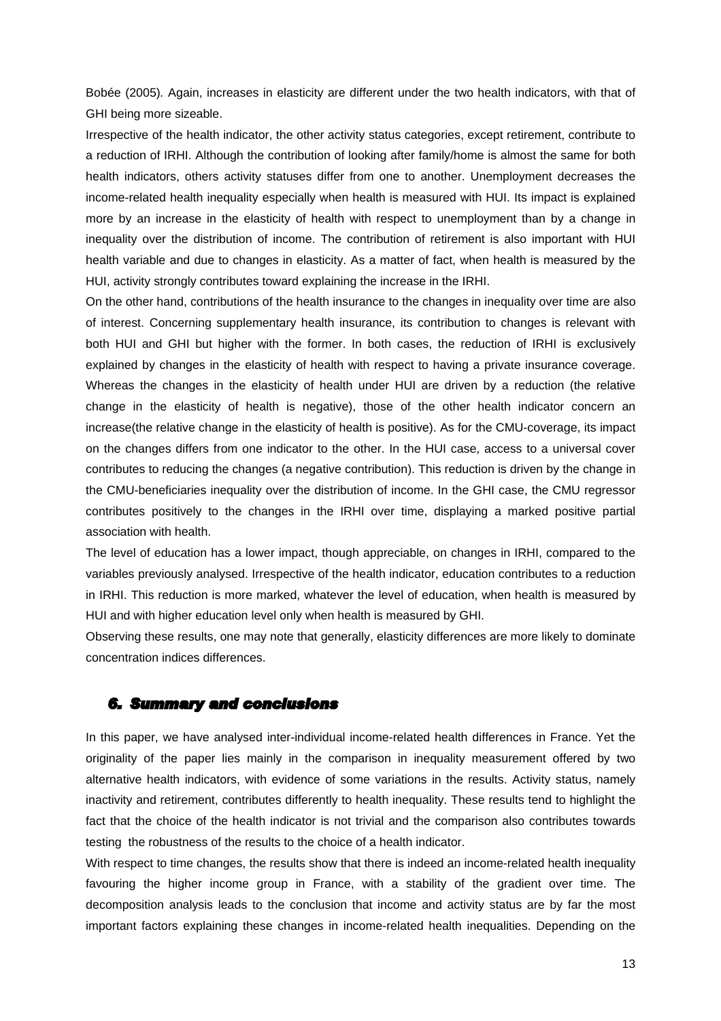Bobée (2005)*.* Again, increases in elasticity are different under the two health indicators, with that of GHI being more sizeable.

Irrespective of the health indicator, the other activity status categories, except retirement, contribute to a reduction of IRHI. Although the contribution of looking after family/home is almost the same for both health indicators, others activity statuses differ from one to another. Unemployment decreases the income-related health inequality especially when health is measured with HUI. Its impact is explained more by an increase in the elasticity of health with respect to unemployment than by a change in inequality over the distribution of income. The contribution of retirement is also important with HUI health variable and due to changes in elasticity. As a matter of fact, when health is measured by the HUI, activity strongly contributes toward explaining the increase in the IRHI.

On the other hand, contributions of the health insurance to the changes in inequality over time are also of interest. Concerning supplementary health insurance, its contribution to changes is relevant with both HUI and GHI but higher with the former. In both cases, the reduction of IRHI is exclusively explained by changes in the elasticity of health with respect to having a private insurance coverage. Whereas the changes in the elasticity of health under HUI are driven by a reduction (the relative change in the elasticity of health is negative), those of the other health indicator concern an increase(the relative change in the elasticity of health is positive). As for the CMU-coverage, its impact on the changes differs from one indicator to the other. In the HUI case, access to a universal cover contributes to reducing the changes (a negative contribution). This reduction is driven by the change in the CMU-beneficiaries inequality over the distribution of income. In the GHI case, the CMU regressor contributes positively to the changes in the IRHI over time, displaying a marked positive partial association with health.

The level of education has a lower impact, though appreciable, on changes in IRHI, compared to the variables previously analysed. Irrespective of the health indicator, education contributes to a reduction in IRHI. This reduction is more marked, whatever the level of education, when health is measured by HUI and with higher education level only when health is measured by GHI.

Observing these results, one may note that generally, elasticity differences are more likely to dominate concentration indices differences.

## *6. Summary and conclusions*

In this paper, we have analysed inter-individual income-related health differences in France. Yet the originality of the paper lies mainly in the comparison in inequality measurement offered by two alternative health indicators, with evidence of some variations in the results. Activity status, namely inactivity and retirement, contributes differently to health inequality. These results tend to highlight the fact that the choice of the health indicator is not trivial and the comparison also contributes towards testing the robustness of the results to the choice of a health indicator.

With respect to time changes, the results show that there is indeed an income-related health inequality favouring the higher income group in France, with a stability of the gradient over time. The decomposition analysis leads to the conclusion that income and activity status are by far the most important factors explaining these changes in income-related health inequalities. Depending on the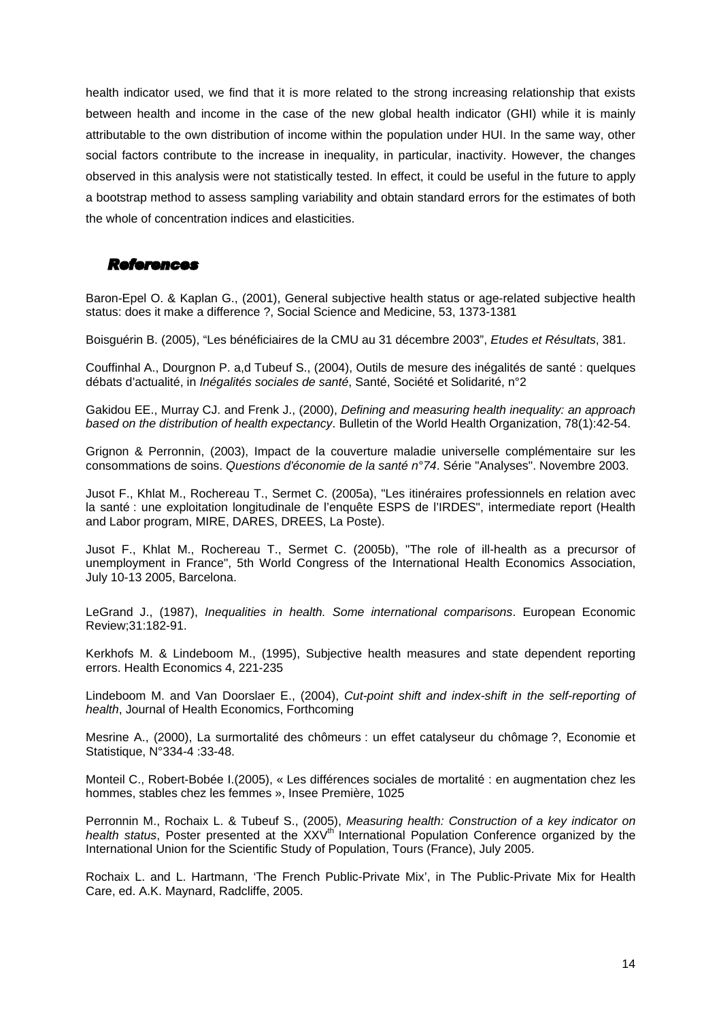health indicator used, we find that it is more related to the strong increasing relationship that exists between health and income in the case of the new global health indicator (GHI) while it is mainly attributable to the own distribution of income within the population under HUI. In the same way, other social factors contribute to the increase in inequality, in particular, inactivity. However, the changes observed in this analysis were not statistically tested. In effect, it could be useful in the future to apply a bootstrap method to assess sampling variability and obtain standard errors for the estimates of both the whole of concentration indices and elasticities.

## *References*

Baron-Epel O. & Kaplan G., (2001), General subjective health status or age-related subjective health status: does it make a difference ?, Social Science and Medicine, 53, 1373-1381

Boisguérin B. (2005), "Les bénéficiaires de la CMU au 31 décembre 2003", *Etudes et Résultats*, 381.

Couffinhal A., Dourgnon P. a,d Tubeuf S., (2004), Outils de mesure des inégalités de santé : quelques débats d'actualité, in *Inégalités sociales de santé*, Santé, Société et Solidarité, n°2

Gakidou EE., Murray CJ. and Frenk J., (2000), *Defining and measuring health inequality: an approach based on the distribution of health expectancy*. Bulletin of the World Health Organization, 78(1):42-54.

Grignon & Perronnin, (2003), Impact de la couverture maladie universelle complémentaire sur les consommations de soins. *Questions d'économie de la santé n°74*. Série "Analyses". Novembre 2003.

Jusot F., Khlat M., Rochereau T., Sermet C. (2005a), "Les itinéraires professionnels en relation avec la santé : une exploitation longitudinale de l'enquête ESPS de l'IRDES", intermediate report (Health and Labor program, MIRE, DARES, DREES, La Poste).

Jusot F., Khlat M., Rochereau T., Sermet C. (2005b), "The role of ill-health as a precursor of unemployment in France", 5th World Congress of the International Health Economics Association, July 10-13 2005, Barcelona.

LeGrand J., (1987), *Inequalities in health. Some international comparisons*. European Economic Review;31:182-91.

Kerkhofs M. & Lindeboom M., (1995), Subjective health measures and state dependent reporting errors. Health Economics 4, 221-235

Lindeboom M. and Van Doorslaer E., (2004), *Cut-point shift and index-shift in the self-reporting of health*, Journal of Health Economics, Forthcoming

Mesrine A., (2000), La surmortalité des chômeurs : un effet catalyseur du chômage ?, Economie et Statistique, N°334-4 :33-48.

Monteil C., Robert-Bobée I.(2005), « Les différences sociales de mortalité : en augmentation chez les hommes, stables chez les femmes », Insee Première, 1025

Perronnin M., Rochaix L. & Tubeuf S., (2005), *Measuring health: Construction of a key indicator on*  health status. Poster presented at the XXV<sup>th'</sup> International Population Conference organized by the International Union for the Scientific Study of Population, Tours (France), July 2005.

Rochaix L. and L. Hartmann, 'The French Public-Private Mix', in The Public-Private Mix for Health Care, ed. A.K. Maynard, Radcliffe, 2005.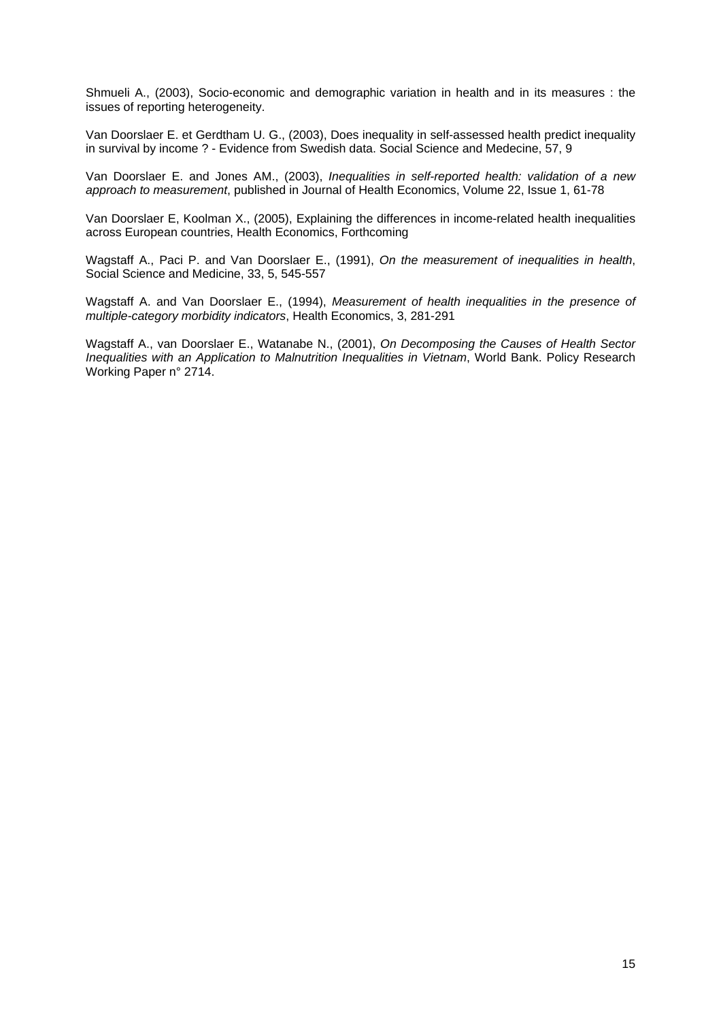Shmueli A., (2003), Socio-economic and demographic variation in health and in its measures : the issues of reporting heterogeneity.

Van Doorslaer E. et Gerdtham U. G., (2003), Does inequality in self-assessed health predict inequality in survival by income ? - Evidence from Swedish data. Social Science and Medecine, 57, 9

Van Doorslaer E. and Jones AM., (2003), *Inequalities in self-reported health: validation of a new approach to measurement*, published in Journal of Health Economics, Volume 22, Issue 1, 61-78

Van Doorslaer E, Koolman X., (2005), Explaining the differences in income-related health inequalities across European countries, Health Economics, Forthcoming

Wagstaff A., Paci P. and Van Doorslaer E., (1991), *On the measurement of inequalities in health*, Social Science and Medicine, 33, 5, 545-557

Wagstaff A. and Van Doorslaer E., (1994), *Measurement of health inequalities in the presence of multiple-category morbidity indicators*, Health Economics, 3, 281-291

Wagstaff A., van Doorslaer E., Watanabe N., (2001), *On Decomposing the Causes of Health Sector Inequalities with an Application to Malnutrition Inequalities in Vietnam*, World Bank. Policy Research Working Paper n° 2714.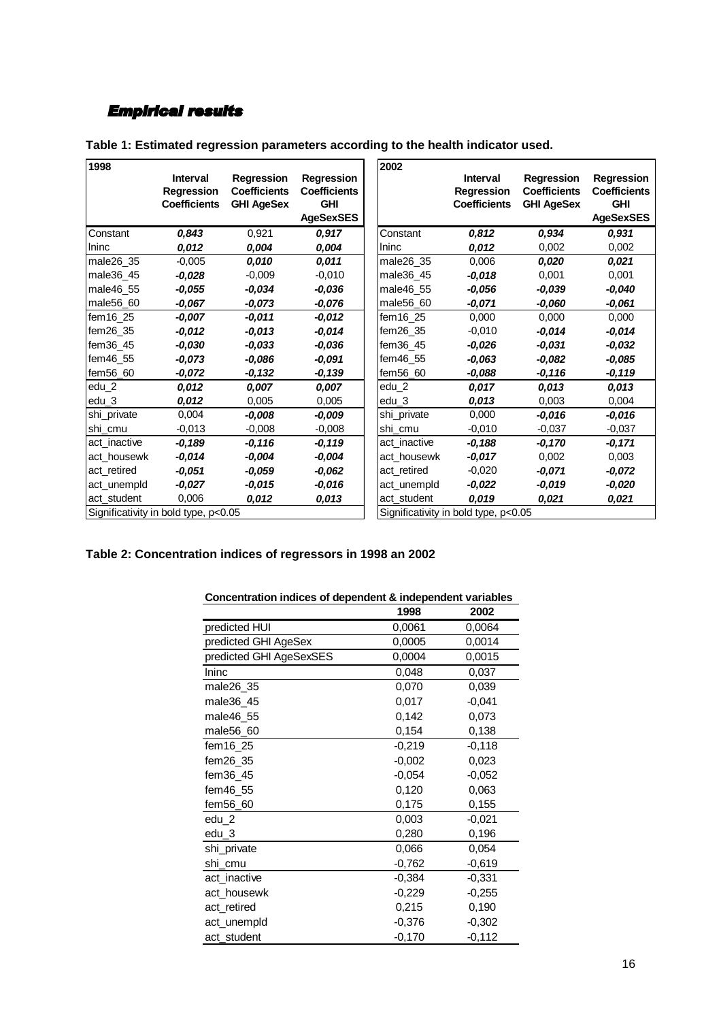# *Empirical results*

| 1998         |                                      |                     |                     | 2002         |                                      |                     |                     |
|--------------|--------------------------------------|---------------------|---------------------|--------------|--------------------------------------|---------------------|---------------------|
|              | <b>Interval</b>                      | Regression          | <b>Regression</b>   |              | Interval                             | <b>Regression</b>   | <b>Regression</b>   |
|              | <b>Regression</b>                    | <b>Coefficients</b> | <b>Coefficients</b> |              | <b>Regression</b>                    | <b>Coefficients</b> | <b>Coefficients</b> |
|              | <b>Coefficients</b>                  | <b>GHI AgeSex</b>   | <b>GHI</b>          |              | <b>Coefficients</b>                  | <b>GHI AgeSex</b>   | <b>GHI</b>          |
|              |                                      |                     | <b>AgeSexSES</b>    |              |                                      |                     | <b>AgeSexSES</b>    |
| Constant     | 0.843                                | 0,921               | 0.917               | Constant     | 0,812                                | 0,934               | 0,931               |
| Ilninc       | 0,012                                | 0,004               | 0,004               | Ininc        | 0,012                                | 0,002               | 0,002               |
| male26 35    | $-0,005$                             | 0.010               | 0.011               | male26_35    | 0.006                                | 0,020               | 0,021               |
| male36 45    | -0,028                               | $-0,009$            | $-0.010$            | male36 45    | -0,018                               | 0,001               | 0,001               |
| male46 55    | $-0.055$                             | $-0.034$            | $-0.036$            | male46 55    | $-0.056$                             | $-0.039$            | $-0,040$            |
| male56_60    | $-0,067$                             | $-0,073$            | $-0,076$            | male56 60    | $-0.071$                             | -0,060              | $-0,061$            |
| fem16 25     | -0.007                               | $-0,011$            | $-0.012$            | fem16 25     | 0.000                                | 0.000               | 0,000               |
| fem $26$ 35  | $-0.012$                             | $-0,013$            | $-0.014$            | fem26 35     | $-0.010$                             | -0,014              | $-0,014$            |
| fem $36$ 45  | $-0.030$                             | $-0.033$            | $-0.036$            | fem36 45     | $-0.026$                             | $-0.031$            | $-0.032$            |
| $fem46$ 55   | $-0.073$                             | $-0.086$            | $-0.091$            | fem46 55     | $-0.063$                             | $-0.082$            | $-0,085$            |
| fem56 60     | -0,072                               | $-0,132$            | $-0,139$            | fem56 60     | $-0.088$                             | -0,116              | $-0,119$            |
| edu 2        | 0,012                                | 0,007               | 0.007               | edu_2        | 0.017                                | 0.013               | 0,013               |
| edu 3        | 0.012                                | 0.005               | 0,005               | edu 3        | 0.013                                | 0.003               | 0.004               |
| shi_private  | 0.004                                | $-0,008$            | $-0.009$            | shi private  | 0.000                                | $-0.016$            | $-0.016$            |
| shi cmu      | $-0,013$                             | $-0,008$            | $-0,008$            | shi cmu      | $-0,010$                             | $-0,037$            | $-0,037$            |
| act inactive | -0.189                               | -0,116              | -0,119              | act inactive | -0,188                               | -0,170              | $-0,171$            |
| act housewk  | $-0.014$                             | $-0,004$            | $-0,004$            | act housewk  | $-0.017$                             | 0,002               | 0,003               |
| act_retired  | $-0.051$                             | $-0.059$            | $-0.062$            | act retired  | $-0,020$                             | $-0.071$            | $-0.072$            |
| act unempld  | $-0.027$                             | $-0.015$            | $-0.016$            | act_unempld  | $-0.022$                             | $-0.019$            | $-0,020$            |
| act student  | 0,006                                | 0,012               | 0.013               | act student  | 0.019                                | 0,021               | 0,021               |
|              | Significativity in bold type, p<0.05 |                     |                     |              | Significativity in bold type, p<0.05 |                     |                     |

| Table 1: Estimated regression parameters according to the health indicator used. |  |  |  |  |  |
|----------------------------------------------------------------------------------|--|--|--|--|--|
|----------------------------------------------------------------------------------|--|--|--|--|--|

# **Table 2: Concentration indices of regressors in 1998 an 2002**

|                         | 1998     | 2002     |
|-------------------------|----------|----------|
| predicted HUI           | 0,0061   | 0,0064   |
| predicted GHI AgeSex    | 0,0005   | 0,0014   |
| predicted GHI AgeSexSES | 0,0004   | 0,0015   |
| Ininc                   | 0,048    | 0,037    |
| male26 35               | 0,070    | 0.039    |
| male36_45               | 0,017    | $-0,041$ |
| male46_55               | 0,142    | 0,073    |
| male56_60               | 0,154    | 0,138    |
| fem16_25                | $-0,219$ | $-0,118$ |
| fem26 35                | $-0.002$ | 0,023    |
| fem36_45                | $-0,054$ | $-0,052$ |
| fem46_55                | 0,120    | 0,063    |
| fem56 60                | 0,175    | 0,155    |
| edu_2                   | 0,003    | $-0,021$ |
| edu_3                   | 0,280    | 0,196    |
| shi_private             | 0,066    | 0,054    |
| shi cmu                 | $-0,762$ | $-0,619$ |
| act_inactive            | $-0.384$ | $-0,331$ |
| act_housewk             | $-0.229$ | $-0,255$ |
| act_retired             | 0,215    | 0,190    |
| act_unempld             | $-0,376$ | $-0,302$ |
| act_student             | $-0,170$ | $-0,112$ |

## **Concentration indices of dependent & independent variables**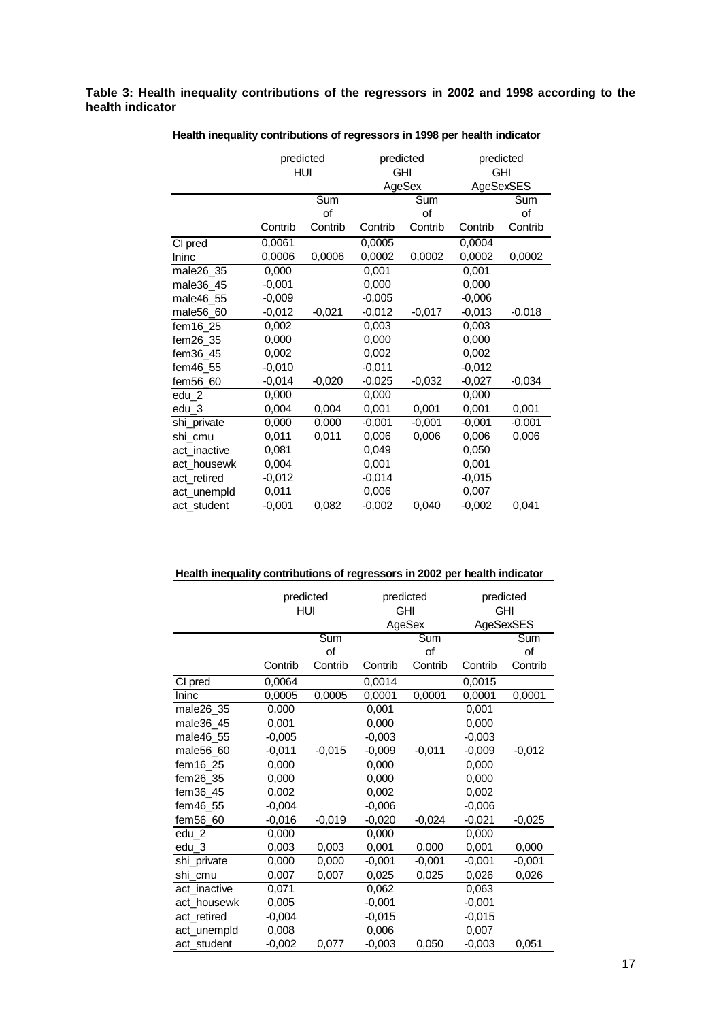**Table 3: Health inequality contributions of the regressors in 2002 and 1998 according to the health indicator** 

|              | predicted<br>HUI |          | predicted<br>GHI<br>AgeSex |          | predicted<br><b>GHI</b><br>AgeSexSES |          |
|--------------|------------------|----------|----------------------------|----------|--------------------------------------|----------|
|              |                  | Sum      |                            | Sum      |                                      | Sum      |
|              |                  | of       |                            | of       |                                      | of       |
|              | Contrib          | Contrib  | Contrib                    | Contrib  | Contrib                              | Contrib  |
| CI pred      | 0,0061           |          | 0,0005                     |          | 0,0004                               |          |
| Ininc        | 0,0006           | 0,0006   | 0,0002                     | 0,0002   | 0,0002                               | 0,0002   |
| male26_35    | 0,000            |          | 0,001                      |          | 0,001                                |          |
| male36 45    | $-0,001$         |          | 0,000                      |          | 0,000                                |          |
| male46 55    | $-0,009$         |          | $-0,005$                   |          | $-0,006$                             |          |
| male56_60    | $-0,012$         | $-0,021$ | $-0,012$                   | $-0,017$ | $-0,013$                             | $-0,018$ |
| fem16_25     | 0,002            |          | 0,003                      |          | 0,003                                |          |
| fem26 35     | 0,000            |          | 0,000                      |          | 0,000                                |          |
| fem36_45     | 0,002            |          | 0,002                      |          | 0,002                                |          |
| fem46_55     | $-0,010$         |          | $-0.011$                   |          | $-0.012$                             |          |
| fem56_60     | $-0,014$         | $-0,020$ | $-0,025$                   | $-0,032$ | $-0,027$                             | $-0,034$ |
| edu 2        | 0,000            |          | 0,000                      |          | 0,000                                |          |
| edu 3        | 0,004            | 0,004    | 0,001                      | 0,001    | 0,001                                | 0,001    |
| shi_private  | 0,000            | 0,000    | $-0,001$                   | $-0.001$ | $-0.001$                             | $-0,001$ |
| shi_cmu      | 0,011            | 0,011    | 0,006                      | 0,006    | 0,006                                | 0,006    |
| act inactive | 0,081            |          | 0,049                      |          | 0,050                                |          |
| act housewk  | 0,004            |          | 0,001                      |          | 0,001                                |          |
| act retired  | $-0,012$         |          | $-0,014$                   |          | $-0,015$                             |          |
| act_unempld  | 0,011            |          | 0,006                      |          | 0,007                                |          |
| act_student  | $-0,001$         | 0,082    | $-0,002$                   | 0,040    | $-0,002$                             | 0,041    |

**Health inequality contributions of regressors in 1998 per health indicator**

|  |  | Health inequality contributions of regressors in 2002 per health indicator |
|--|--|----------------------------------------------------------------------------|
|  |  |                                                                            |

|              | predicted<br>HUI |          |          | predicted<br><b>GHI</b><br>AgeSex |          | predicted<br><b>GHI</b><br>AgeSexSES |  |
|--------------|------------------|----------|----------|-----------------------------------|----------|--------------------------------------|--|
|              |                  | Sum      |          | Sum                               |          | Sum                                  |  |
|              |                  | of       |          | of                                |          | οf                                   |  |
|              | Contrib          | Contrib  | Contrib  | Contrib                           | Contrib  | Contrib                              |  |
| CI pred      | 0,0064           |          | 0,0014   |                                   | 0,0015   |                                      |  |
| Ininc        | 0,0005           | 0,0005   | 0,0001   | 0,0001                            | 0,0001   | 0,0001                               |  |
| male26_35    | 0,000            |          | 0,001    |                                   | 0,001    |                                      |  |
| male36_45    | 0,001            |          | 0,000    |                                   | 0,000    |                                      |  |
| male46_55    | $-0,005$         |          | $-0,003$ |                                   | $-0,003$ |                                      |  |
| male56_60    | $-0,011$         | $-0,015$ | $-0,009$ | $-0,011$                          | $-0,009$ | $-0,012$                             |  |
| fem16 25     | 0,000            |          | 0,000    |                                   | 0,000    |                                      |  |
| fem26 35     | 0,000            |          | 0,000    |                                   | 0,000    |                                      |  |
| fem36_45     | 0,002            |          | 0,002    |                                   | 0,002    |                                      |  |
| fem46_55     | $-0,004$         |          | $-0,006$ |                                   | $-0,006$ |                                      |  |
| fem56_60     | $-0,016$         | $-0,019$ | $-0,020$ | $-0,024$                          | $-0,021$ | $-0,025$                             |  |
| edu 2        | 0,000            |          | 0,000    |                                   | 0,000    |                                      |  |
| edu_3        | 0,003            | 0,003    | 0,001    | 0,000                             | 0,001    | 0,000                                |  |
| shi private  | 0,000            | 0,000    | $-0.001$ | $-0,001$                          | $-0,001$ | $-0,001$                             |  |
| shi cmu      | 0,007            | 0,007    | 0,025    | 0,025                             | 0,026    | 0,026                                |  |
| act_inactive | 0,071            |          | 0,062    |                                   | 0,063    |                                      |  |
| act housewk  | 0,005            |          | $-0,001$ |                                   | $-0,001$ |                                      |  |
| act_retired  | $-0,004$         |          | $-0,015$ |                                   | $-0,015$ |                                      |  |
| act_unempld  | 0,008            |          | 0,006    |                                   | 0,007    |                                      |  |
| act_student  | $-0,002$         | 0,077    | $-0,003$ | 0,050                             | $-0,003$ | 0,051                                |  |